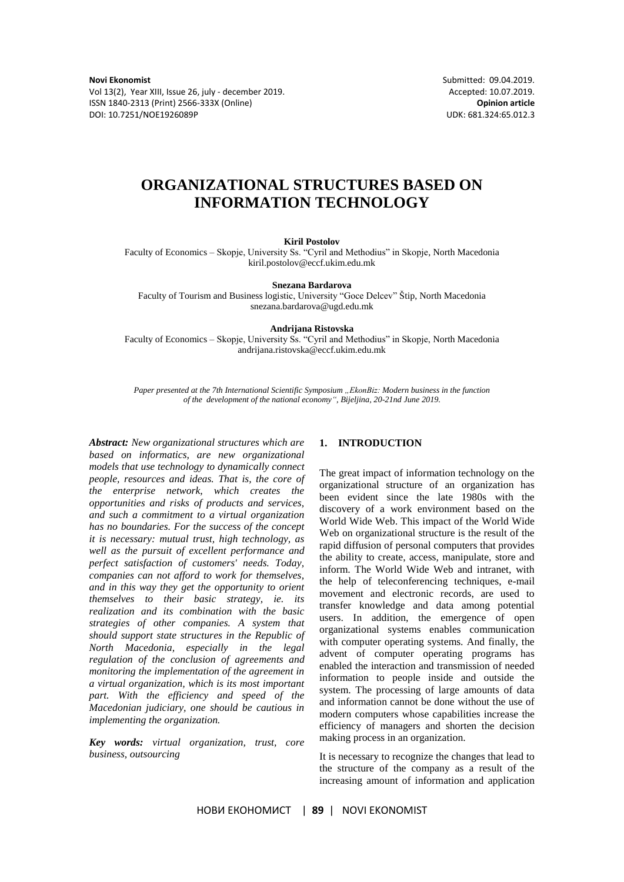Vol 13(2), Year XIII, Issue 26, july - december 2019. Accepted: 10.07.2019. ISSN 1840-2313 (Print) 2566-333X (Online) **Opinion article** DOI: 10.7251/NOE1926089P UDK: 681.324:65.012.3

**Novi Ekonomist** Submitted: 09.04.2019.

# **ORGANIZATIONAL STRUCTURES BASED ON INFORMATION TECHNOLOGY**

**Kiril Postolov**

Faculty of Economics – Skopje, University Ss. "Cyril and Methodius" in Skopje, North Macedonia kiril.postolov@eccf.ukim.edu.mk

#### **Snezana Bardarova**

Faculty of Tourism and Business logistic, University "Goce Delcev" Štip, North Macedonia snezana.bardarova@ugd.edu.mk

**Andrijana Ristovska**

Faculty of Economics – Skopje, University Ss. "Cyril and Methodius" in Skopje, North Macedonia andrijana.ristovska@eccf.ukim.edu.mk

*Paper presented at the 7th International Scientific Symposium "EkonBiz: Modern business in the function of the development of the national economy", Bijeljina, 20-21nd June 2019.*

*Abstract: New organizational structures which are based on informatics, are new organizational models that use technology to dynamically connect people, resources and ideas. That is, the core of the enterprise network, which creates the opportunities and risks of products and services, and such a commitment to a virtual organization has no boundaries. For the success of the concept it is necessary: mutual trust, high technology, as well as the pursuit of excellent performance and perfect satisfaction of customers' needs. Today, companies can not afford to work for themselves, and in this way they get the opportunity to orient themselves to their basic strategy, ie. its realization and its combination with the basic strategies of other companies. A system that should support state structures in the Republic of North Macedonia, especially in the legal regulation of the conclusion of agreements and monitoring the implementation of the agreement in a virtual organization, which is its most important part. With the efficiency and speed of the Macedonian judiciary, one should be cautious in implementing the organization.*

*Key words: virtual organization, trust, core business, outsourcing*

# **1. INTRODUCTION**

The great impact of information technology on the organizational structure of an organization has been evident since the late 1980s with the discovery of a work environment based on the World Wide Web. This impact of the World Wide Web on organizational structure is the result of the rapid diffusion of personal computers that provides the ability to create, access, manipulate, store and inform. The World Wide Web and intranet, with the help of teleconferencing techniques, e-mail movement and electronic records, are used to transfer knowledge and data among potential users. In addition, the emergence of open organizational systems enables communication with computer operating systems. And finally, the advent of computer operating programs has enabled the interaction and transmission of needed information to people inside and outside the system. The processing of large amounts of data and information cannot be done without the use of modern computers whose capabilities increase the efficiency of managers and shorten the decision making process in an organization.

It is necessary to recognize the changes that lead to the structure of the company as a result of the increasing amount of information and application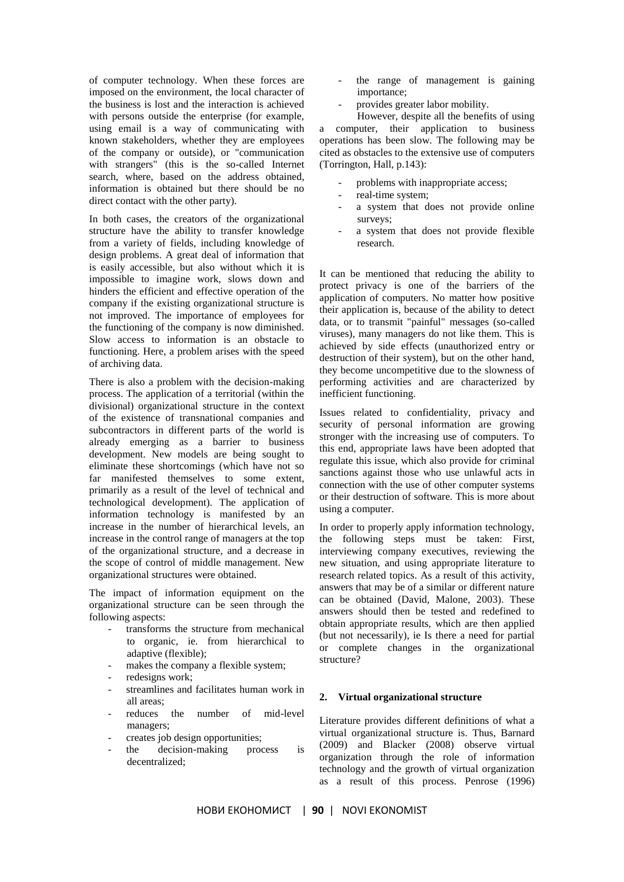of computer technology. When these forces are imposed on the environment, the local character of the business is lost and the interaction is achieved with persons outside the enterprise (for example, using email is a way of communicating with known stakeholders, whether they are employees of the company or outside), or "communication with strangers" (this is the so-called Internet search, where, based on the address obtained, information is obtained but there should be no direct contact with the other party).

In both cases, the creators of the organizational structure have the ability to transfer knowledge from a variety of fields, including knowledge of design problems. A great deal of information that is easily accessible, but also without which it is impossible to imagine work, slows down and hinders the efficient and effective operation of the company if the existing organizational structure is not improved. The importance of employees for the functioning of the company is now diminished. Slow access to information is an obstacle to functioning. Here, a problem arises with the speed of archiving data.

There is also a problem with the decision-making process. The application of a territorial (within the divisional) organizational structure in the context of the existence of transnational companies and subcontractors in different parts of the world is already emerging as a barrier to business development. New models are being sought to eliminate these shortcomings (which have not so far manifested themselves to some extent, primarily as a result of the level of technical and technological development). The application of information technology is manifested by an increase in the number of hierarchical levels, an increase in the control range of managers at the top of the organizational structure, and a decrease in the scope of control of middle management. New organizational structures were obtained.

The impact of information equipment on the organizational structure can be seen through the following aspects:

- transforms the structure from mechanical to organic, ie. from hierarchical to adaptive (flexible);
- makes the company a flexible system;
- redesigns work;
- streamlines and facilitates human work in all areas;
- reduces the number of mid-level managers;
- creates job design opportunities;
- the decision-making process is decentralized;
- the range of management is gaining importance;
- provides greater labor mobility.

However, despite all the benefits of using a computer, their application to business operations has been slow. The following may be cited as obstacles to the extensive use of computers (Torrington, Hall, p.143):

- problems with inappropriate access;
- real-time system;
- a system that does not provide online surveys;
- a system that does not provide flexible research.

It can be mentioned that reducing the ability to protect privacy is one of the barriers of the application of computers. No matter how positive their application is, because of the ability to detect data, or to transmit "painful" messages (so-called viruses), many managers do not like them. This is achieved by side effects (unauthorized entry or destruction of their system), but on the other hand, they become uncompetitive due to the slowness of performing activities and are characterized by inefficient functioning.

Issues related to confidentiality, privacy and security of personal information are growing stronger with the increasing use of computers. To this end, appropriate laws have been adopted that regulate this issue, which also provide for criminal sanctions against those who use unlawful acts in connection with the use of other computer systems or their destruction of software. This is more about using a computer.

In order to properly apply information technology, the following steps must be taken: First, interviewing company executives, reviewing the new situation, and using appropriate literature to research related topics. As a result of this activity, answers that may be of a similar or different nature can be obtained (David, Malone, 2003). These answers should then be tested and redefined to obtain appropriate results, which are then applied (but not necessarily), ie Is there a need for partial or complete changes in the organizational structure?

#### **2. Virtual organizational structure**

Literature provides different definitions of what a virtual organizational structure is. Thus, Barnard (2009) and Blacker (2008) observe virtual organization through the role of information technology and the growth of virtual organization as a result of this process. Penrose (1996)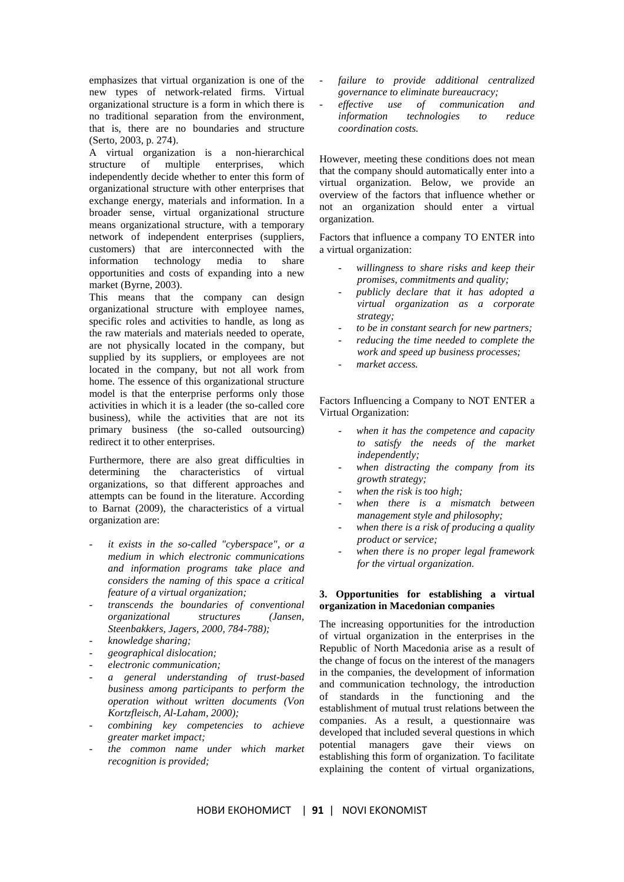emphasizes that virtual organization is one of the new types of network-related firms. Virtual organizational structure is a form in which there is no traditional separation from the environment, that is, there are no boundaries and structure (Serto, 2003, p. 274).

A virtual organization is a non-hierarchical structure of multiple enterprises, which independently decide whether to enter this form of organizational structure with other enterprises that exchange energy, materials and information. In a broader sense, virtual organizational structure means organizational structure, with a temporary network of independent enterprises (suppliers, customers) that are interconnected with the information technology media to share opportunities and costs of expanding into a new market (Byrne, 2003).

This means that the company can design organizational structure with employee names, specific roles and activities to handle, as long as the raw materials and materials needed to operate, are not physically located in the company, but supplied by its suppliers, or employees are not located in the company, but not all work from home. The essence of this organizational structure model is that the enterprise performs only those activities in which it is a leader (the so-called core business), while the activities that are not its primary business (the so-called outsourcing) redirect it to other enterprises.

Furthermore, there are also great difficulties in determining the characteristics of virtual organizations, so that different approaches and attempts can be found in the literature. According to Barnat (2009), the characteristics of a virtual organization are:

- it exists in the so-called "cyberspace", or a *medium in which electronic communications and information programs take place and considers the naming of this space a critical feature of a virtual organization;*
- *transcends the boundaries of conventional organizational structures (Jansen, Steenbakkers, Jagers, 2000, 784-788);*
- *knowledge sharing;*
- *geographical dislocation;*
- *electronic communication;*
- *a general understanding of trust-based business among participants to perform the operation without written documents (Von Kortzfleisch, Al-Laham, 2000);*
- *combining key competencies to achieve greater market impact;*
- *the common name under which market recognition is provided;*
- *failure to provide additional centralized governance to eliminate bureaucracy;*
- *effective use of communication and information technologies to reduce coordination costs.*

However, meeting these conditions does not mean that the company should automatically enter into a virtual organization. Below, we provide an overview of the factors that influence whether or not an organization should enter a virtual organization.

Factors that influence a company TO ENTER into a virtual organization:

- *willingness to share risks and keep their promises, commitments and quality;*
- *publicly declare that it has adopted a virtual organization as a corporate strategy;*
- *to be in constant search for new partners;*
- *reducing the time needed to complete the work and speed up business processes;*
- *market access.*

Factors Influencing a Company to NOT ENTER a Virtual Organization:

- *when it has the competence and capacity to satisfy the needs of the market independently;*
- when distracting the company from its *growth strategy;*
- when the risk is too high;
- when there is a mismatch between *management style and philosophy;*
- *when there is a risk of producing a quality product or service;*
- *when there is no proper legal framework for the virtual organization.*

# **3. Opportunities for establishing a virtual organization in Macedonian companies**

The increasing opportunities for the introduction of virtual organization in the enterprises in the Republic of North Macedonia arise as a result of the change of focus on the interest of the managers in the companies, the development of information and communication technology, the introduction of standards in the functioning and the establishment of mutual trust relations between the companies. As a result, a questionnaire was developed that included several questions in which potential managers gave their views on establishing this form of organization. To facilitate explaining the content of virtual organizations,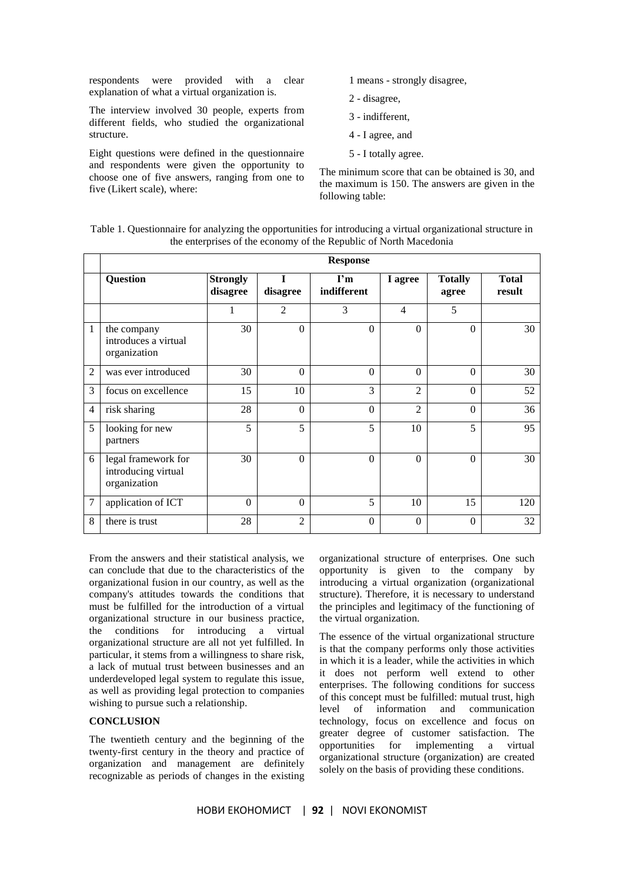respondents were provided with a clear explanation of what a virtual organization is.

The interview involved 30 people, experts from different fields, who studied the organizational structure.

Eight questions were defined in the questionnaire and respondents were given the opportunity to choose one of five answers, ranging from one to five (Likert scale), where:

- 1 means strongly disagree,
- 2 disagree,
- 3 indifferent,
- 4 I agree, and
- 5 I totally agree.

The minimum score that can be obtained is 30, and the maximum is 150. The answers are given in the following table:

Table 1. Questionnaire for analyzing the opportunities for introducing a virtual organizational structure in the enterprises of the economy of the Republic of North Macedonia

|                | <b>Response</b>                                            |                             |                |                                        |                |                         |                        |
|----------------|------------------------------------------------------------|-----------------------------|----------------|----------------------------------------|----------------|-------------------------|------------------------|
|                | <b>Question</b>                                            | <b>Strongly</b><br>disagree | T<br>disagree  | $\mathbf{I}^{\prime}$ m<br>indifferent | I agree        | <b>Totally</b><br>agree | <b>Total</b><br>result |
|                |                                                            |                             | $\mathfrak{D}$ | 3                                      | 4              | 5                       |                        |
| 1              | the company<br>introduces a virtual<br>organization        | 30                          | $\Omega$       | $\Omega$                               | $\Omega$       | $\Omega$                | 30                     |
| $\overline{2}$ | was ever introduced                                        | 30                          | $\Omega$       | $\Omega$                               | $\Omega$       | $\Omega$                | 30                     |
| 3              | focus on excellence                                        | 15                          | 10             | 3                                      | $\mathfrak{D}$ | $\Omega$                | 52                     |
| $\overline{4}$ | risk sharing                                               | 28                          | $\Omega$       | $\Omega$                               | $\overline{c}$ | $\Omega$                | 36                     |
| 5              | looking for new<br>partners                                | 5                           | 5              | 5                                      | 10             | 5                       | 95                     |
| 6              | legal framework for<br>introducing virtual<br>organization | 30                          | $\Omega$       | $\Omega$                               | $\Omega$       | $\Omega$                | 30                     |
| $\overline{7}$ | application of ICT                                         | $\Omega$                    | $\Omega$       | 5                                      | 10             | 15                      | 120                    |
| 8              | there is trust                                             | 28                          | $\overline{2}$ | $\theta$                               | $\Omega$       | $\Omega$                | 32                     |

From the answers and their statistical analysis, we can conclude that due to the characteristics of the organizational fusion in our country, as well as the company's attitudes towards the conditions that must be fulfilled for the introduction of a virtual organizational structure in our business practice, the conditions for introducing a virtual organizational structure are all not yet fulfilled. In particular, it stems from a willingness to share risk, a lack of mutual trust between businesses and an underdeveloped legal system to regulate this issue, as well as providing legal protection to companies wishing to pursue such a relationship.

## **CONCLUSION**

The twentieth century and the beginning of the twenty-first century in the theory and practice of organization and management are definitely recognizable as periods of changes in the existing

organizational structure of enterprises. One such opportunity is given to the company by introducing a virtual organization (organizational structure). Therefore, it is necessary to understand the principles and legitimacy of the functioning of the virtual organization.

The essence of the virtual organizational structure is that the company performs only those activities in which it is a leader, while the activities in which it does not perform well extend to other enterprises. The following conditions for success of this concept must be fulfilled: mutual trust, high level of information and communication technology, focus on excellence and focus on greater degree of customer satisfaction. The opportunities for implementing a virtual organizational structure (organization) are created solely on the basis of providing these conditions.